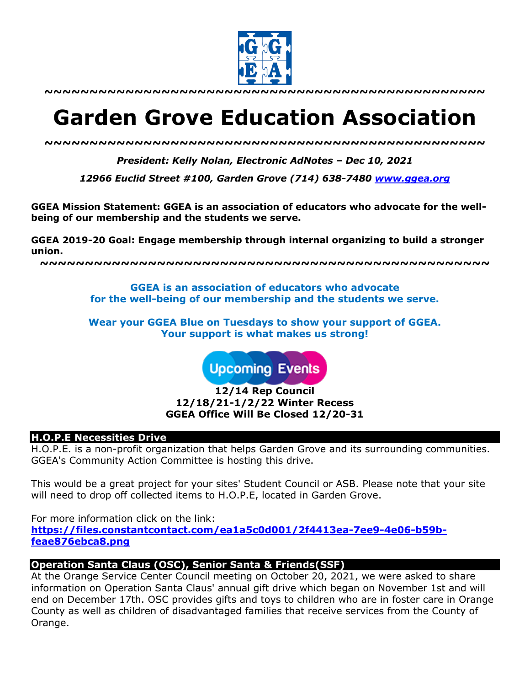

**~~~~~~~~~~~~~~~~~~~~~~~~~~~~~~~~~~~~~~~~~~~~~~~~~**

# **Garden Grove Education Association**

*~~~~~~~~~~~~~~~~~~~~~~~~~~~~~~~~~~~~~~~~~~~~~~~~~*

*President: Kelly Nolan, Electronic AdNotes – Dec 10, 2021*

*12966 Euclid Street #100, Garden Grove (714) 638-7480 www.ggea.org*

**GGEA Mission Statement: GGEA is an association of educators who advocate for the wellbeing of our membership and the students we serve.** 

**GGEA 2019-20 Goal: Engage membership through internal organizing to build a stronger union.**

**~~~~~~~~~~~~~~~~~~~~~~~~~~~~~~~~~~~~~~~~~~~~~~~~~~**

**GGEA is an association of educators who advocate for the well-being of our membership and the students we serve.**

**Wear your GGEA Blue on Tuesdays to show your support of GGEA. Your support is what makes us strong!**

**Upcoming Events** 

**12/14 Rep Council 12/18/21-1/2/22 Winter Recess GGEA Office Will Be Closed 12/20-31**

#### **H.O.P.E Necessities Drive**

H.O.P.E. is a non-profit organization that helps Garden Grove and its surrounding communities. GGEA's Community Action Committee is hosting this drive.

This would be a great project for your sites' Student Council or ASB. Please note that your site will need to drop off collected items to H.O.P.E, located in Garden Grove.

For more information click on the link: **https://files.constantcontact.com/ea1a5c0d001/2f4413ea-7ee9-4e06-b59bfeae876ebca8.png**

### **Operation Santa Claus (OSC), Senior Santa & Friends(SSF)**

At the Orange Service Center Council meeting on October 20, 2021, we were asked to share information on Operation Santa Claus' annual gift drive which began on November 1st and will end on December 17th. OSC provides gifts and toys to children who are in foster care in Orange County as well as children of disadvantaged families that receive services from the County of Orange.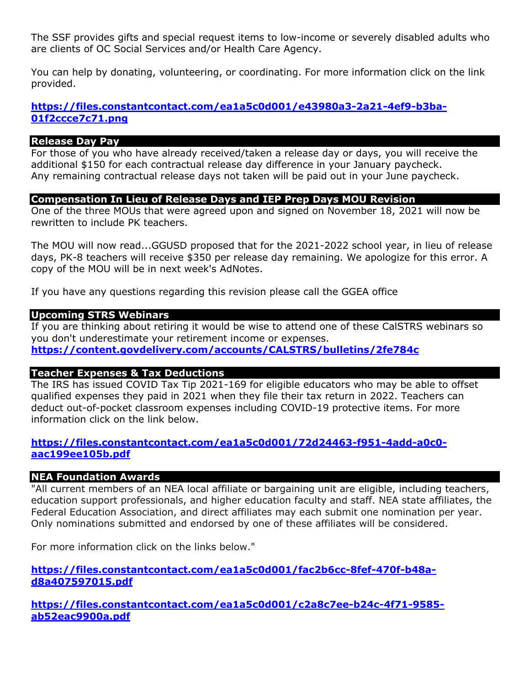The SSF provides gifts and special request items to low-income or severely disabled adults who are clients of OC Social Services and/or Health Care Agency.

You can help by donating, volunteering, or coordinating. For more information click on the link provided.

# **https://files.constantcontact.com/ea1a5c0d001/e43980a3-2a21-4ef9-b3ba-01f2ccce7c71.png**

#### **Release Day Pay**

For those of you who have already received/taken a release day or days, you will receive the additional \$150 for each contractual release day difference in your January paycheck. Any remaining contractual release days not taken will be paid out in your June paycheck.

### **Compensation In Lieu of Release Days and IEP Prep Days MOU Revision**

One of the three MOUs that were agreed upon and signed on November 18, 2021 will now be rewritten to include PK teachers.

The MOU will now read...GGUSD proposed that for the 2021-2022 school year, in lieu of release days, PK-8 teachers will receive \$350 per release day remaining. We apologize for this error. A copy of the MOU will be in next week's AdNotes.

If you have any questions regarding this revision please call the GGEA office

#### **Upcoming STRS Webinars**

If you are thinking about retiring it would be wise to attend one of these CalSTRS webinars so you don't underestimate your retirement income or expenses. **https://content.govdelivery.com/accounts/CALSTRS/bulletins/2fe784c**

### **Teacher Expenses & Tax Deductions**

The IRS has issued COVID Tax Tip 2021-169 for eligible educators who may be able to offset qualified expenses they paid in 2021 when they file their tax return in 2022. Teachers can deduct out-of-pocket classroom expenses including COVID-19 protective items. For more information click on the link below.

## **https://files.constantcontact.com/ea1a5c0d001/72d24463-f951-4add-a0c0 aac199ee105b.pdf**

### **NEA Foundation Awards**

"All current members of an NEA local affiliate or bargaining unit are eligible, including teachers, education support professionals, and higher education faculty and staff. NEA state affiliates, the Federal Education Association, and direct affiliates may each submit one nomination per year. Only nominations submitted and endorsed by one of these affiliates will be considered.

For more information click on the links below."

**https://files.constantcontact.com/ea1a5c0d001/fac2b6cc-8fef-470f-b48ad8a407597015.pdf**

**https://files.constantcontact.com/ea1a5c0d001/c2a8c7ee-b24c-4f71-9585 ab52eac9900a.pdf**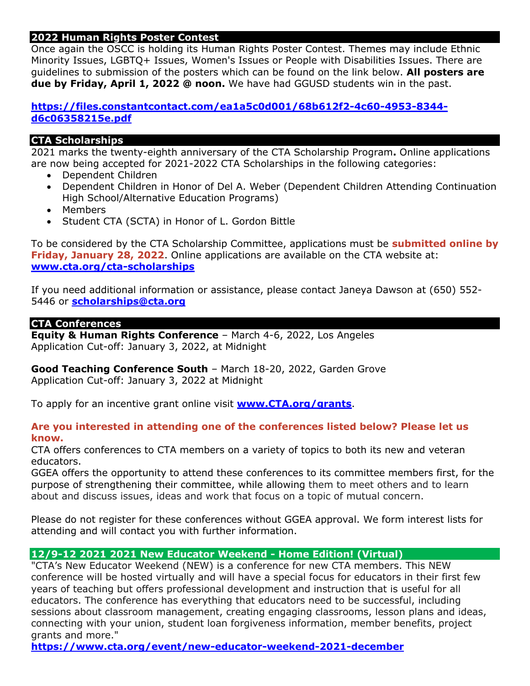# **2022 Human Rights Poster Contest**

Once again the OSCC is holding its Human Rights Poster Contest. Themes may include Ethnic Minority Issues, LGBTQ+ Issues, Women's Issues or People with Disabilities Issues. There are guidelines to submission of the posters which can be found on the link below. **All posters are due by Friday, April 1, 2022 @ noon.** We have had GGUSD students win in the past.

# **https://files.constantcontact.com/ea1a5c0d001/68b612f2-4c60-4953-8344 d6c06358215e.pdf**

# **CTA Scholarships**

2021 marks the twenty-eighth anniversary of the CTA Scholarship Program**.** Online applications are now being accepted for 2021-2022 CTA Scholarships in the following categories:

- Dependent Children
- Dependent Children in Honor of Del A. Weber (Dependent Children Attending Continuation High School/Alternative Education Programs)
- Members
- Student CTA (SCTA) in Honor of L. Gordon Bittle

To be considered by the CTA Scholarship Committee, applications must be **submitted online by Friday, January 28, 2022**. Online applications are available on the CTA website at: **www.cta.org/cta-scholarships**

If you need additional information or assistance, please contact Janeya Dawson at (650) 552- 5446 or **scholarships@cta.org**

## **CTA Conferences**

**Equity & Human Rights Conference** – March 4-6, 2022, Los Angeles Application Cut-off: January 3, 2022, at Midnight

**Good Teaching Conference South** – March 18-20, 2022, Garden Grove Application Cut-off: January 3, 2022 at Midnight

To apply for an incentive grant online visit **www.CTA.org/grants**.

# **Are you interested in attending one of the conferences listed below? Please let us know.**

CTA offers conferences to CTA members on a variety of topics to both its new and veteran educators.

GGEA offers the opportunity to attend these conferences to its committee members first, for the purpose of strengthening their committee, while allowing them to meet others and to learn about and discuss issues, ideas and work that focus on a topic of mutual concern.

Please do not register for these conferences without GGEA approval. We form interest lists for attending and will contact you with further information.

# **12/9-12 2021 2021 New Educator Weekend - Home Edition! (Virtual)**

"CTA's New Educator Weekend (NEW) is a conference for new CTA members. This NEW conference will be hosted virtually and will have a special focus for educators in their first few years of teaching but offers professional development and instruction that is useful for all educators. The conference has everything that educators need to be successful, including sessions about classroom management, creating engaging classrooms, lesson plans and ideas, connecting with your union, student loan forgiveness information, member benefits, project grants and more."

**https://www.cta.org/event/new-educator-weekend-2021-december**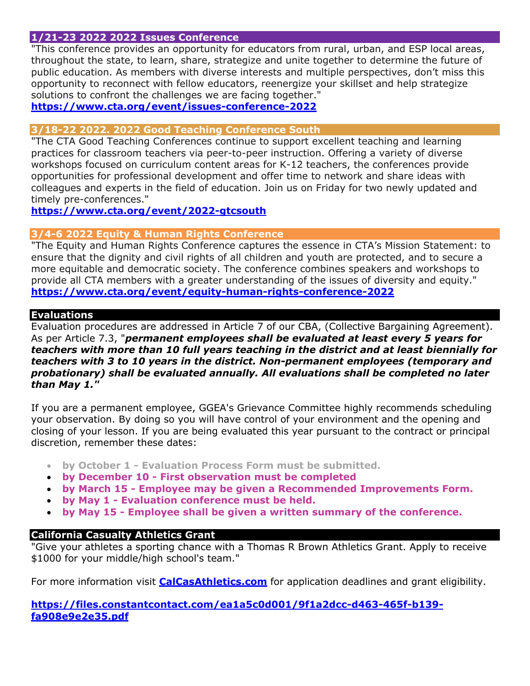# **1/21-23 2022 2022 Issues Conference**

"This conference provides an opportunity for educators from rural, urban, and ESP local areas, throughout the state, to learn, share, strategize and unite together to determine the future of public education. As members with diverse interests and multiple perspectives, don't miss this opportunity to reconnect with fellow educators, reenergize your skillset and help strategize solutions to confront the challenges we are facing together."

## **https://www.cta.org/event/issues-conference-2022**

## **3/18-22 2022. 2022 Good Teaching Conference South**

"The CTA Good Teaching Conferences continue to support excellent teaching and learning practices for classroom teachers via peer-to-peer instruction. Offering a variety of diverse workshops focused on curriculum content areas for K-12 teachers, the conferences provide opportunities for professional development and offer time to network and share ideas with colleagues and experts in the field of education. Join us on Friday for two newly updated and timely pre-conferences."

**https://www.cta.org/event/2022-gtcsouth**

## **3/4-6 2022 Equity & Human Rights Conference**

"The Equity and Human Rights Conference captures the essence in CTA's Mission Statement: to ensure that the dignity and civil rights of all children and youth are protected, and to secure a more equitable and democratic society. The conference combines speakers and workshops to provide all CTA members with a greater understanding of the issues of diversity and equity." **https://www.cta.org/event/equity-human-rights-conference-2022**

## **Evaluations**

Evaluation procedures are addressed in Article 7 of our CBA, (Collective Bargaining Agreement). As per Article 7.3, "*permanent employees shall be evaluated at least every 5 years for teachers with more than 10 full years teaching in the district and at least biennially for teachers with 3 to 10 years in the district. Non-permanent employees (temporary and probationary) shall be evaluated annually. All evaluations shall be completed no later than May 1."*

If you are a permanent employee, GGEA's Grievance Committee highly recommends scheduling your observation. By doing so you will have control of your environment and the opening and closing of your lesson. If you are being evaluated this year pursuant to the contract or principal discretion, remember these dates:

- **by October 1 - Evaluation Process Form must be submitted.**
- **by December 10 - First observation must be completed**
- **by March 15 - Employee may be given a Recommended Improvements Form.**
- **by May 1 - Evaluation conference must be held.**
- **by May 15 - Employee shall be given a written summary of the conference.**

# **California Casualty Athletics Grant**

"Give your athletes a sporting chance with a Thomas R Brown Athletics Grant. Apply to receive \$1000 for your middle/high school's team."

For more information visit **CalCasAthletics.com** for application deadlines and grant eligibility.

# **https://files.constantcontact.com/ea1a5c0d001/9f1a2dcc-d463-465f-b139 fa908e9e2e35.pdf**